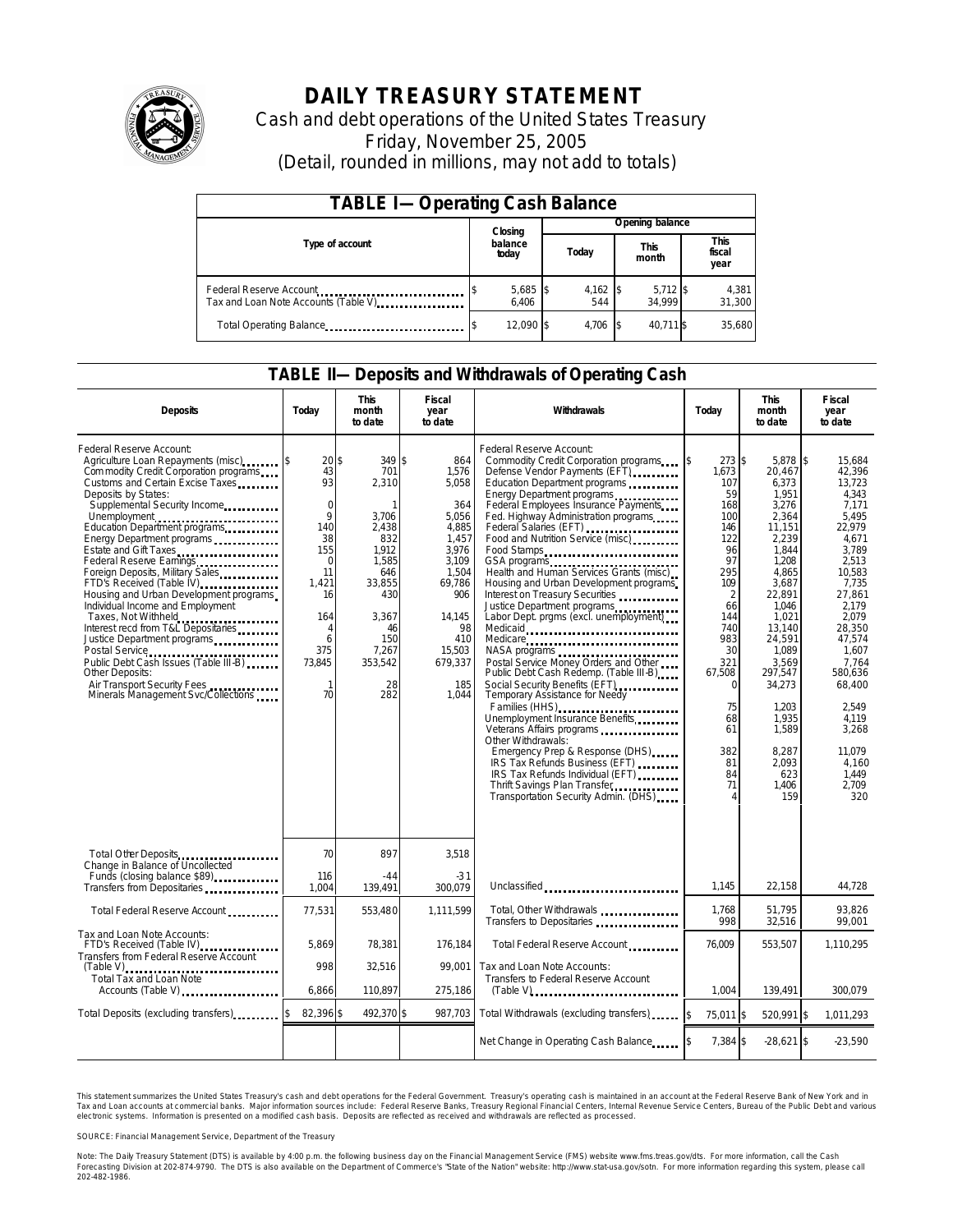

# **DAILY TREASURY STATEMENT**

Cash and debt operations of the United States Treasury Friday, November 25, 2005 (Detail, rounded in millions, may not add to totals)

| <b>TABLE I-Operating Cash Balance</b>                            |                  |                   |       |                 |                      |                      |  |                               |  |
|------------------------------------------------------------------|------------------|-------------------|-------|-----------------|----------------------|----------------------|--|-------------------------------|--|
|                                                                  |                  | Closing           |       | Opening balance |                      |                      |  |                               |  |
| Type of account                                                  | balance<br>today |                   | Today |                 | <b>This</b><br>month |                      |  | <b>This</b><br>fiscal<br>year |  |
| Federal Reserve Account<br>Tax and Loan Note Accounts (Table V). |                  | 5,685 \$<br>6.406 |       | 4,162<br>544    |                      | $5,712$ \$<br>34.999 |  | 4,381<br>31,300               |  |
| Total Operating Balance                                          |                  | 12,090 \$         |       | 4,706           |                      | 40,711 \$            |  | 35,680                        |  |

#### **TABLE II—Deposits and Withdrawals of Operating Cash**

| <b>Deposits</b>                                                                                                                                                                                                                                                                                                                                                                                                                                                                                                                                                                                                                                                              | Today                                                                                                                                                           | <b>This</b><br>month<br>to date                                                                                                                                  | <b>Fiscal</b><br>year<br>to date                                                                                                                                | Withdrawals                                                                                                                                                                                                                                                                                                                                                                                                                                                                                                                                                                                                                                                                                                                                                                                                                                                                                                                                                                                                            | Today                                                                                                                                                                                                             | <b>This</b><br>month<br>to date                                                                                                                                                                                                                                             | Fiscal<br>year<br>to date                                                                                                                                                                                                                                                   |
|------------------------------------------------------------------------------------------------------------------------------------------------------------------------------------------------------------------------------------------------------------------------------------------------------------------------------------------------------------------------------------------------------------------------------------------------------------------------------------------------------------------------------------------------------------------------------------------------------------------------------------------------------------------------------|-----------------------------------------------------------------------------------------------------------------------------------------------------------------|------------------------------------------------------------------------------------------------------------------------------------------------------------------|-----------------------------------------------------------------------------------------------------------------------------------------------------------------|------------------------------------------------------------------------------------------------------------------------------------------------------------------------------------------------------------------------------------------------------------------------------------------------------------------------------------------------------------------------------------------------------------------------------------------------------------------------------------------------------------------------------------------------------------------------------------------------------------------------------------------------------------------------------------------------------------------------------------------------------------------------------------------------------------------------------------------------------------------------------------------------------------------------------------------------------------------------------------------------------------------------|-------------------------------------------------------------------------------------------------------------------------------------------------------------------------------------------------------------------|-----------------------------------------------------------------------------------------------------------------------------------------------------------------------------------------------------------------------------------------------------------------------------|-----------------------------------------------------------------------------------------------------------------------------------------------------------------------------------------------------------------------------------------------------------------------------|
| Federal Reserve Account:<br>Agriculture Loan Repayments (misc)<br>Com modity Credit Corporation programs<br>Customs and Certain Excise Taxes<br>Deposits by States:<br>Supplemental Security Income<br>Education Department programs<br>Energy Department programs<br>Federal Reserve Earnings<br>Foreign Deposits, Military Sales<br>FTD's Received (Table IV)<br>Housing and Urban Development programs<br>Individual Income and Employment<br>Taxes, Not Withheld<br>Interest recd from T&L Depositaries<br>Justice Department programs<br>Public Debt Cash Issues (Table III-B)<br>Other Deposits:<br>Air Transport Security Fees<br>Minerals Management Svc/Collections | $20$ \$<br>43<br>93<br>$\mathbf 0$<br>$\mathsf{Q}$<br>140<br>38<br>155<br>$\Omega$<br>11<br>1,421<br>16<br>164<br>4<br>6<br>375<br>73,845<br>$\mathbf{1}$<br>70 | 349 \$<br>701<br>2,310<br>$\mathbf{1}$<br>3,706<br>2.438<br>832<br>1.912<br>1.585<br>646<br>33,855<br>430<br>3,367<br>46<br>150<br>7.267<br>353,542<br>28<br>282 | 864<br>1,576<br>5,058<br>364<br>5.056<br>4,885<br>1.457<br>3.976<br>3.109<br>1,504<br>69,786<br>906<br>14.145<br>98<br>410<br>15,503<br>679,337<br>185<br>1,044 | Federal Reserve Account:<br>Commodity Credit Corporation programs<br>Defense Vendor Payments (EFT)<br>Education Department programs<br>Energy Department programs<br>Federal Employees Insurance Payments<br>Fed. Highway Administration programs<br>Federal Salaries (EFT)<br>Federal Salaries (EFT)<br>Food and Nutrition Service (misc)<br>Food Stamps<br>GSA programs<br>Health and Human Services Grants (misc)<br>Housing and Urban Development programs<br>Interest on Treasury Securities<br>Justice Department programs<br>Labor Dept. prgms (excl. unemployment)<br>Medicaid<br>Medicare<br>Postal Service Money Orders and Other<br>Public Debt Cash Redemp. (Table III-B)<br>Social Security Benefits (EFT)<br>Temporary Assistance for Needy<br>Families (HHS)<br>Unemployment Insurance Benefits<br>Other Withdrawals:<br>Emergency Prep & Response (DHS)<br>IRS Tax Refunds Business (EFT)<br>IRS Tax Refunds Individual (EFT)<br>Thrift Savings Plan Transfer.<br>Transportation Security Admin. (DHS) | 273S<br>ß.<br>1,673<br>107<br>59<br>168<br>100<br>146<br>122<br>96<br>97<br>295<br>109<br>$\overline{2}$<br>66<br>144<br>740<br>983<br>30<br>321<br>67,508<br>$\Omega$<br>75<br>68<br>61<br>382<br>81<br>84<br>71 | $5.878$ \\$<br>20,467<br>6,373<br>1,951<br>3,276<br>2.364<br>11,151<br>2,239<br>1.844<br>1,208<br>4,865<br>3,687<br>22,891<br>1.046<br>1.021<br>13.140<br>24.591<br>1.089<br>3,569<br>297,547<br>34,273<br>1,203<br>1,935<br>1,589<br>8.287<br>2.093<br>623<br>1,406<br>159 | 15.684<br>42,396<br>13,723<br>4.343<br>7,171<br>5.495<br>22.979<br>4.671<br>3.789<br>2.513<br>10.583<br>7,735<br>27.861<br>2.179<br>2.079<br>28,350<br>47.574<br>1.607<br>7.764<br>580,636<br>68,400<br>2.549<br>4,119<br>3,268<br>11.079<br>4.160<br>1,449<br>2.709<br>320 |
| Total Other Deposits<br>Change in Balance of Uncollected                                                                                                                                                                                                                                                                                                                                                                                                                                                                                                                                                                                                                     | 70                                                                                                                                                              | 897                                                                                                                                                              | 3.518                                                                                                                                                           |                                                                                                                                                                                                                                                                                                                                                                                                                                                                                                                                                                                                                                                                                                                                                                                                                                                                                                                                                                                                                        |                                                                                                                                                                                                                   |                                                                                                                                                                                                                                                                             |                                                                                                                                                                                                                                                                             |
| Funds (closing balance \$89)<br>Transfers from Depositaries                                                                                                                                                                                                                                                                                                                                                                                                                                                                                                                                                                                                                  | 116<br>1,004                                                                                                                                                    | $-44$<br>139,491                                                                                                                                                 | $-31$<br>300.079                                                                                                                                                | Unclassified                                                                                                                                                                                                                                                                                                                                                                                                                                                                                                                                                                                                                                                                                                                                                                                                                                                                                                                                                                                                           | 1,145                                                                                                                                                                                                             | 22,158                                                                                                                                                                                                                                                                      | 44,728                                                                                                                                                                                                                                                                      |
| Total Federal Reserve Account                                                                                                                                                                                                                                                                                                                                                                                                                                                                                                                                                                                                                                                | 77,531                                                                                                                                                          | 553,480                                                                                                                                                          | 1,111,599                                                                                                                                                       | Total, Other Withdrawals<br>Transfers to Depositaries                                                                                                                                                                                                                                                                                                                                                                                                                                                                                                                                                                                                                                                                                                                                                                                                                                                                                                                                                                  | 1,768<br>998                                                                                                                                                                                                      | 51.795<br>32,516                                                                                                                                                                                                                                                            | 93,826<br>99,001                                                                                                                                                                                                                                                            |
| Tax and Loan Note Accounts:<br>FTD's Received (Table IV)<br>Transfers from Federal Reserve Account                                                                                                                                                                                                                                                                                                                                                                                                                                                                                                                                                                           | 5.869                                                                                                                                                           | 78,381                                                                                                                                                           | 176.184                                                                                                                                                         | Total Federal Reserve Account.                                                                                                                                                                                                                                                                                                                                                                                                                                                                                                                                                                                                                                                                                                                                                                                                                                                                                                                                                                                         | 76.009                                                                                                                                                                                                            | 553,507                                                                                                                                                                                                                                                                     | 1,110,295                                                                                                                                                                                                                                                                   |
| <b>Total Tax and Loan Note</b><br>Accounts (Table V)                                                                                                                                                                                                                                                                                                                                                                                                                                                                                                                                                                                                                         | 998<br>6,866                                                                                                                                                    | 32,516<br>110.897                                                                                                                                                | 99.001<br>275,186                                                                                                                                               | Tax and Loan Note Accounts:<br>Transfers to Federal Reserve Account<br>$(Table V)$ , $\ldots$ , $\ldots$ , $\ldots$ , $\ldots$ , $\ldots$ , $\ldots$ , $\ldots$ , $\ldots$                                                                                                                                                                                                                                                                                                                                                                                                                                                                                                                                                                                                                                                                                                                                                                                                                                             | 1.004                                                                                                                                                                                                             | 139,491                                                                                                                                                                                                                                                                     | 300.079                                                                                                                                                                                                                                                                     |
| Total Deposits (excluding transfers)                                                                                                                                                                                                                                                                                                                                                                                                                                                                                                                                                                                                                                         | 82,396 \$                                                                                                                                                       | 492,370 \$                                                                                                                                                       | 987,703                                                                                                                                                         | Total Withdrawals (excluding transfers)                                                                                                                                                                                                                                                                                                                                                                                                                                                                                                                                                                                                                                                                                                                                                                                                                                                                                                                                                                                | $\overline{\mathbf{3}}$<br>75,011 \$                                                                                                                                                                              | 520,991 \$                                                                                                                                                                                                                                                                  | 1,011,293                                                                                                                                                                                                                                                                   |
|                                                                                                                                                                                                                                                                                                                                                                                                                                                                                                                                                                                                                                                                              |                                                                                                                                                                 |                                                                                                                                                                  |                                                                                                                                                                 | Net Change in Operating Cash Balance                                                                                                                                                                                                                                                                                                                                                                                                                                                                                                                                                                                                                                                                                                                                                                                                                                                                                                                                                                                   | 7,384 \$                                                                                                                                                                                                          | $-28,621$ \$                                                                                                                                                                                                                                                                | $-23,590$                                                                                                                                                                                                                                                                   |

This statement summarizes the United States Treasury's cash and debt operations for the Federal Government. Treasury's operating cash is maintained in an account at the Federal Reserve Bank of New York and in Tax and Loan accounts at commercial banks. Major information sources include: Federal Reserve Banks, Treasury Regional Financial Centers, Internal Revenue Service Centers, Bureau of the Public Debt and various<br>electronic s

SOURCE: Financial Management Service, Department of the Treasury

Note: The Daily Treasury Statement (DTS) is available by 4:00 p.m. the following business day on the Financial Management Service (FMS) website www.fms.treas.gov/dts.<br>Forecasting Division at 202-874-9790. The DTS is also a 'S) is available by 4:00 p.m. the following business day on the Financial Management Service (FMS) website www.fms.treas.gov/dts. For more information, call the Cash<br>The DTS is also available on the Department of Commerce'